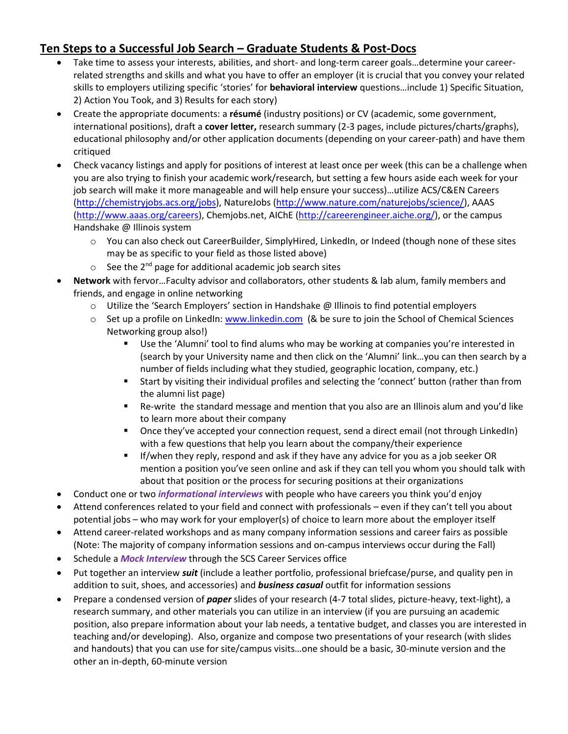## **Ten Steps to a Successful Job Search – Graduate Students & Post-Docs**

- Take time to assess your interests, abilities, and short- and long-term career goals…determine your careerrelated strengths and skills and what you have to offer an employer (it is crucial that you convey your related skills to employers utilizing specific 'stories' for **behavioral interview** questions…include 1) Specific Situation, 2) Action You Took, and 3) Results for each story)
- Create the appropriate documents: a **résumé** (industry positions) or CV (academic, some government, international positions), draft a **cover letter,** research summary (2-3 pages, include pictures/charts/graphs), educational philosophy and/or other application documents (depending on your career-path) and have them critiqued
- Check vacancy listings and apply for positions of interest at least once per week (this can be a challenge when you are also trying to finish your academic work/research, but setting a few hours aside each week for your job search will make it more manageable and will help ensure your success)…utilize ACS/C&EN Careers [\(http://chemistryjobs.acs.org/jobs\)](http://chemistryjobs.acs.org/jobs), NatureJobs [\(http://www.nature.com/naturejobs/science/\)](http://www.nature.com/naturejobs/science/), AAAS [\(http://www.aaas.org/careers\)](http://www.aaas.org/careers), Chemjobs.net, AIChE [\(http://careerengineer.aiche.org/\)](http://careerengineer.aiche.org/), or the campus Handshake @ Illinois system
	- o You can also check out CareerBuilder, SimplyHired, LinkedIn, or Indeed (though none of these sites may be as specific to your field as those listed above)
	- $\circ$  See the 2<sup>nd</sup> page for additional academic job search sites
- **Network** with fervor…Faculty advisor and collaborators, other students & lab alum, family members and friends, and engage in online networking
	- o Utilize the 'Search Employers' section in Handshake @ Illinois to find potential employers
	- $\circ$  Set up a profile on LinkedIn[: www.linkedin.com](http://www.linkedin.com/) (& be sure to join the School of Chemical Sciences Networking group also!)
		- Use the 'Alumni' tool to find alums who may be working at companies you're interested in (search by your University name and then click on the 'Alumni' link…you can then search by a number of fields including what they studied, geographic location, company, etc.)
		- Start by visiting their individual profiles and selecting the 'connect' button (rather than from the alumni list page)
		- Re-write the standard message and mention that you also are an Illinois alum and you'd like to learn more about their company
		- Once they've accepted your connection request, send a direct email (not through LinkedIn) with a few questions that help you learn about the company/their experience
		- **If/when they reply, respond and ask if they have any advice for you as a job seeker OR** mention a position you've seen online and ask if they can tell you whom you should talk with about that position or the process for securing positions at their organizations
- Conduct one or two *informational interviews* with people who have careers you think you'd enjoy
- Attend conferences related to your field and connect with professionals even if they can't tell you about potential jobs – who may work for your employer(s) of choice to learn more about the employer itself
- Attend career-related workshops and as many company information sessions and career fairs as possible (Note: The majority of company information sessions and on-campus interviews occur during the Fall)
- **•** Schedule a *Mock Interview* through the SCS Career Services office
- Put together an interview *suit* (include a leather portfolio, professional briefcase/purse, and quality pen in addition to suit, shoes, and accessories) and *business casual* outfit for information sessions
- Prepare a condensed version of *paper* slides of your research (4-7 total slides, picture-heavy, text-light), a research summary, and other materials you can utilize in an interview (if you are pursuing an academic position, also prepare information about your lab needs, a tentative budget, and classes you are interested in teaching and/or developing). Also, organize and compose two presentations of your research (with slides and handouts) that you can use for site/campus visits…one should be a basic, 30-minute version and the other an in-depth, 60-minute version